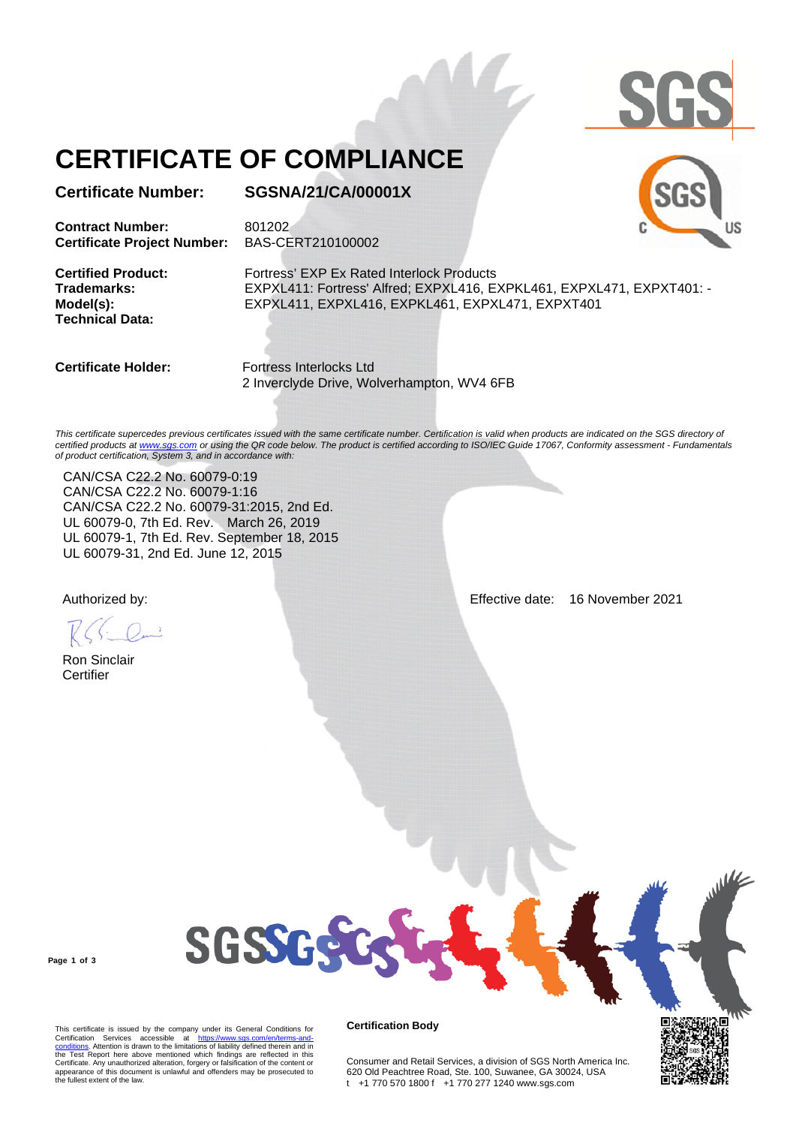

JS

# **CERTIFICATE OF COMPLIANCE**

**Certificate Number: SGSNA/21/CA/00001X**

**Contract Number:** 801202 **Certificate Project Number:** BAS-CERT210100002

**Technical Data:** 

**Certified Product:** Fortress' EXP Ex Rated Interlock Products **Trademarks:** EXPXL411: Fortress' Alfred; EXPXL416, EXPKL461, EXPXL471, EXPXT401: - **Model(s):** EXPXL411, EXPXL416, EXPKL461, EXPXL471, EXPXT401

**Certificate Holder:** Fortress Interlocks Ltd 2 Inverclyde Drive, Wolverhampton, WV4 6FB

This certificate supercedes previous certificates issued with the same certificate number. Certification is valid when products are indicated on the SGS directory of *certified products at www.sgs.com or using the QR code below. The product is certified according to ISO/IEC Guide 17067, Conformity assessment - Fundamentals of product certification, System 3, and in accordance with:*

CAN/CSA C22.2 No. 60079-0:19 CAN/CSA C22.2 No. 60079-1:16 CAN/CSA C22.2 No. 60079-31:2015, 2nd Ed. UL 60079-0, 7th Ed. Rev. March 26, 2019 UL 60079-1, 7th Ed. Rev. September 18, 2015 UL 60079-31, 2nd Ed. June 12, 2015

Ron Sinclair **Certifier** 

Authorized by: Effective date: 16 November 2021

**Page 1 of 3**

This certificate is issued by the company under its General Conditions for Certification Services accessible at https://www.sgs.com/en/terms-and-<br>conditions. Attention is drawn to the limitations of liability defined therein and in<br>the Test Report here above mentioned which findings are reflected appearance of this document is unlawful and offenders may be prosecuted to the fullest extent of the law.

**SGSSGS** 

#### **Certification Body**

Consumer and Retail Services, a division of SGS North America Inc. 620 Old Peachtree Road, Ste. 100, Suwanee, GA 30024, USA t +1 770 570 1800 f +1 770 277 1240 www.sgs.com

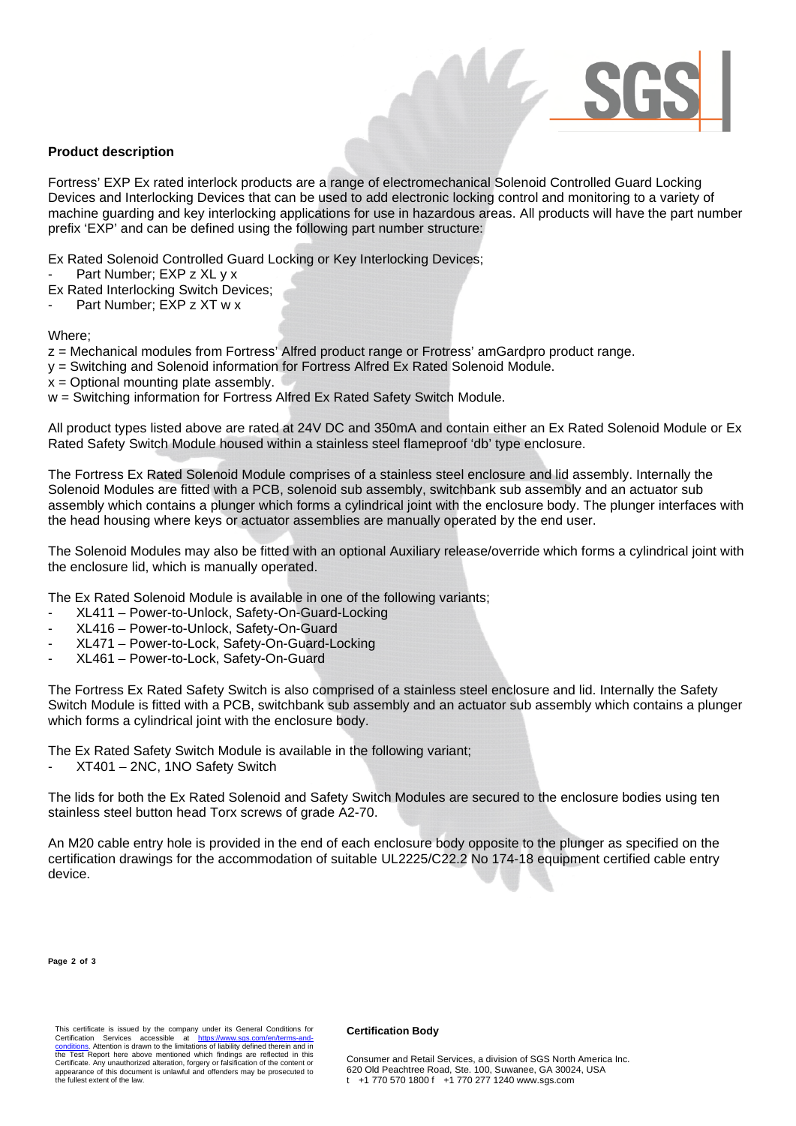

## **Product description**

Fortress' EXP Ex rated interlock products are a range of electromechanical Solenoid Controlled Guard Locking Devices and Interlocking Devices that can be used to add electronic locking control and monitoring to a variety of machine guarding and key interlocking applications for use in hazardous areas. All products will have the part number prefix 'EXP' and can be defined using the following part number structure:

Ex Rated Solenoid Controlled Guard Locking or Key Interlocking Devices;

Part Number: EXP z XL v x

Ex Rated Interlocking Switch Devices;

Part Number: EXP z XT w x

Where;

z = Mechanical modules from Fortress' Alfred product range or Frotress' amGardpro product range.

- y = Switching and Solenoid information for Fortress Alfred Ex Rated Solenoid Module.
- $x =$  Optional mounting plate assembly.

w = Switching information for Fortress Alfred Ex Rated Safety Switch Module.

All product types listed above are rated at 24V DC and 350mA and contain either an Ex Rated Solenoid Module or Ex Rated Safety Switch Module housed within a stainless steel flameproof 'db' type enclosure.

The Fortress Ex Rated Solenoid Module comprises of a stainless steel enclosure and lid assembly. Internally the Solenoid Modules are fitted with a PCB, solenoid sub assembly, switchbank sub assembly and an actuator sub assembly which contains a plunger which forms a cylindrical joint with the enclosure body. The plunger interfaces with the head housing where keys or actuator assemblies are manually operated by the end user.

The Solenoid Modules may also be fitted with an optional Auxiliary release/override which forms a cylindrical joint with the enclosure lid, which is manually operated.

The Ex Rated Solenoid Module is available in one of the following variants;

- XL411 Power-to-Unlock, Safety-On-Guard-Locking
- XL416 Power-to-Unlock, Safety-On-Guard
- XL471 Power-to-Lock, Safety-On-Guard-Locking
- XL461 Power-to-Lock, Safety-On-Guard

The Fortress Ex Rated Safety Switch is also comprised of a stainless steel enclosure and lid. Internally the Safety Switch Module is fitted with a PCB, switchbank sub assembly and an actuator sub assembly which contains a plunger which forms a cylindrical joint with the enclosure body.

The Ex Rated Safety Switch Module is available in the following variant;

XT401 – 2NC, 1NO Safety Switch

The lids for both the Ex Rated Solenoid and Safety Switch Modules are secured to the enclosure bodies using ten stainless steel button head Torx screws of grade A2-70.

An M20 cable entry hole is provided in the end of each enclosure body opposite to the plunger as specified on the certification drawings for the accommodation of suitable UL2225/C22.2 No 174-18 equipment certified cable entry device.

**Page 2 of 3**

#### **Certification Body**

Consumer and Retail Services, a division of SGS North America Inc. 620 Old Peachtree Road, Ste. 100, Suwanee, GA 30024, USA t +1 770 570 1800 f +1 770 277 1240 www.sgs.com